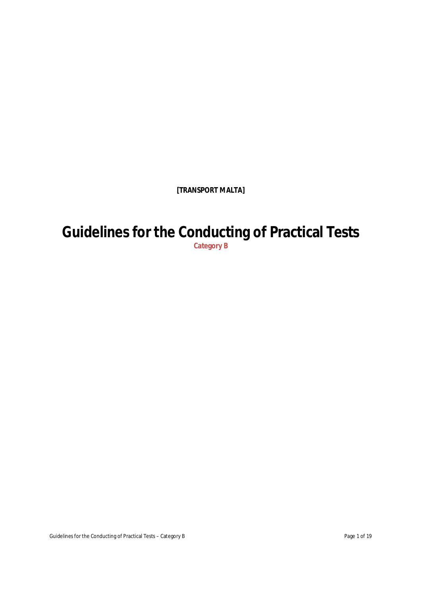**[TRANSPORT MALTA]**

# **Guidelines for the Conducting of Practical Tests**

**Category B**

Guidelines for the Conducting of Practical Tests – Category B Page 1 of 19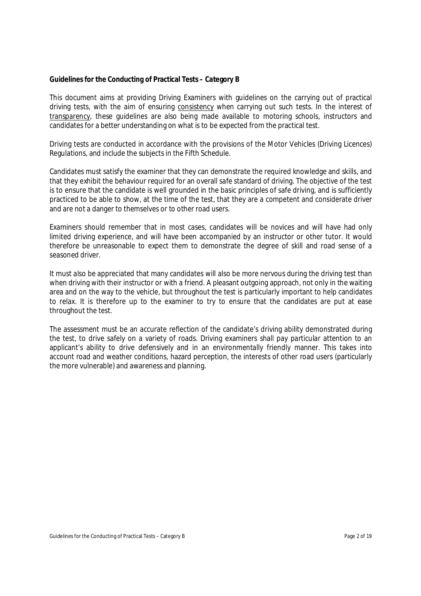#### **Guidelines for the Conducting of Practical Tests – Category B**

This document aims at providing Driving Examiners with guidelines on the carrying out of practical driving tests, with the aim of ensuring consistency when carrying out such tests. In the interest of transparency, these guidelines are also being made available to motoring schools, instructors and candidates for a better understanding on what is to be expected from the practical test.

Driving tests are conducted in accordance with the provisions of the Motor Vehicles (Driving Licences) Regulations, and include the subjects in the Fifth Schedule.

Candidates must satisfy the examiner that they can demonstrate the required knowledge and skills, and that they exhibit the behaviour required for an overall safe standard of driving. The objective of the test is to ensure that the candidate is well grounded in the basic principles of safe driving, and is sufficiently practiced to be able to show, at the time of the test, that they are a competent and considerate driver and are not a danger to themselves or to other road users.

Examiners should remember that in most cases, candidates will be novices and will have had only limited driving experience, and will have been accompanied by an instructor or other tutor. It would therefore be unreasonable to expect them to demonstrate the degree of skill and road sense of a seasoned driver.

It must also be appreciated that many candidates will also be more nervous during the driving test than when driving with their instructor or with a friend. A pleasant outgoing approach, not only in the waiting area and on the way to the vehicle, but throughout the test is particularly important to help candidates to relax. It is therefore up to the examiner to try to ensure that the candidates are put at ease throughout the test.

The assessment must be an accurate reflection of the candidate's driving ability demonstrated during the test, to drive safely on a variety of roads. Driving examiners shall pay particular attention to an applicant's ability to drive defensively and in an environmentally friendly manner. This takes into account road and weather conditions, hazard perception, the interests of other road users (particularly the more vulnerable) and awareness and planning.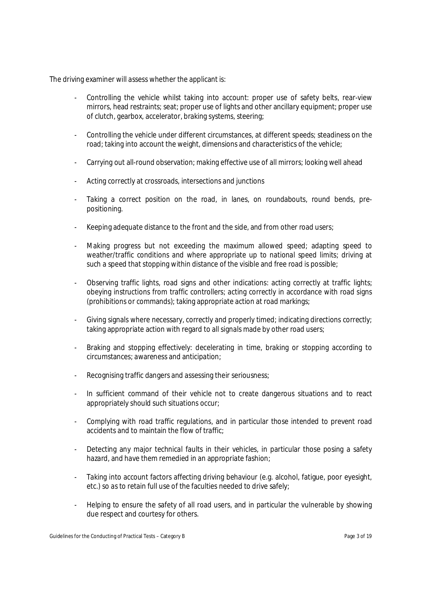The driving examiner will assess whether the applicant is:

- Controlling the vehicle whilst taking into account: proper use of safety belts, rear-view mirrors, head restraints; seat; proper use of lights and other ancillary equipment; proper use of clutch, gearbox, accelerator, braking systems, steering;
- Controlling the vehicle under different circumstances, at different speeds; steadiness on the road; taking into account the weight, dimensions and characteristics of the vehicle;
- Carrying out all-round observation; making effective use of all mirrors; looking well ahead
- Acting correctly at crossroads, intersections and junctions
- Taking a correct position on the road, in lanes, on roundabouts, round bends, prepositioning.
- Keeping adequate distance to the front and the side, and from other road users;
- Making progress but not exceeding the maximum allowed speed; adapting speed to weather/traffic conditions and where appropriate up to national speed limits; driving at such a speed that stopping within distance of the visible and free road is possible;
- Observing traffic lights, road signs and other indications: acting correctly at traffic lights; obeying instructions from traffic controllers; acting correctly in accordance with road signs (prohibitions or commands); taking appropriate action at road markings;
- Giving signals where necessary, correctly and properly timed; indicating directions correctly; taking appropriate action with regard to all signals made by other road users;
- Braking and stopping effectively: decelerating in time, braking or stopping according to circumstances; awareness and anticipation;
- Recognising traffic dangers and assessing their seriousness;
- In sufficient command of their vehicle not to create dangerous situations and to react appropriately should such situations occur;
- Complying with road traffic regulations, and in particular those intended to prevent road accidents and to maintain the flow of traffic;
- Detecting any major technical faults in their vehicles, in particular those posing a safety hazard, and have them remedied in an appropriate fashion;
- Taking into account factors affecting driving behaviour (e.g. alcohol, fatigue, poor eyesight, etc.) so as to retain full use of the faculties needed to drive safely;
- Helping to ensure the safety of all road users, and in particular the vulnerable by showing due respect and courtesy for others.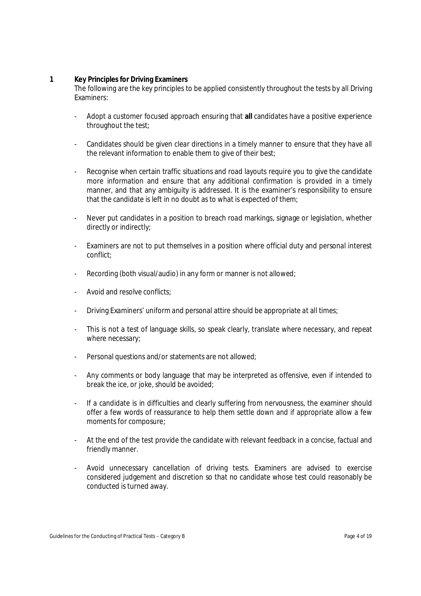# **1 Key Principles for Driving Examiners**

The following are the key principles to be applied consistently throughout the tests by all Driving Examiners:

- Adopt a customer focused approach ensuring that **all** candidates have a positive experience throughout the test;
- Candidates should be given clear directions in a timely manner to ensure that they have all the relevant information to enable them to give of their best;
- Recognise when certain traffic situations and road layouts require you to give the candidate more information and ensure that any additional confirmation is provided in a timely manner, and that any ambiguity is addressed. It is the examiner's responsibility to ensure that the candidate is left in no doubt as to what is expected of them;
- Never put candidates in a position to breach road markings, signage or legislation, whether directly or indirectly;
- Examiners are not to put themselves in a position where official duty and personal interest conflict;
- Recording (both visual/audio) in any form or manner is not allowed;
- Avoid and resolve conflicts:
- Driving Examiners' uniform and personal attire should be appropriate at all times;
- This is not a test of language skills, so speak clearly, translate where necessary, and repeat where necessary;
- Personal questions and/or statements are not allowed;
- Any comments or body language that may be interpreted as offensive, even if intended to break the ice, or joke, should be avoided;
- If a candidate is in difficulties and clearly suffering from nervousness, the examiner should offer a few words of reassurance to help them settle down and if appropriate allow a few moments for composure;
- At the end of the test provide the candidate with relevant feedback in a concise, factual and friendly manner.
- Avoid unnecessary cancellation of driving tests. Examiners are advised to exercise considered judgement and discretion so that no candidate whose test could reasonably be conducted is turned away.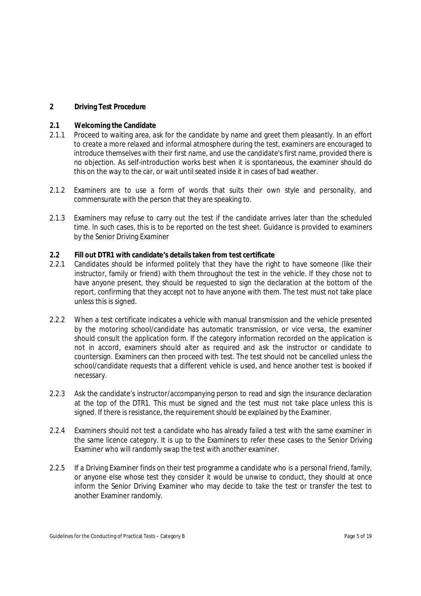# **2 Driving Test Procedure**

#### **2.1 Welcoming the Candidate**

- 2.1.1 Proceed to waiting area, ask for the candidate by name and greet them pleasantly. In an effort to create a more relaxed and informal atmosphere during the test, examiners are encouraged to introduce themselves with their first name, and use the candidate's first name, provided there is no objection. As self-introduction works best when it is spontaneous, the examiner should do this on the way to the car, or wait until seated inside it in cases of bad weather.
- 2.1.2 Examiners are to use a form of words that suits their own style and personality, and commensurate with the person that they are speaking to.
- 2.1.3 Examiners may refuse to carry out the test if the candidate arrives later than the scheduled time. In such cases, this is to be reported on the test sheet. Guidance is provided to examiners by the Senior Driving Examiner

# **2.2 Fill out DTR1 with candidate's details taken from test certificate**

- 2.2.1 Candidates should be informed politely that they have the right to have someone (like their instructor, family or friend) with them throughout the test in the vehicle. If they chose not to have anyone present, they should be requested to sign the declaration at the bottom of the report, confirming that they accept not to have anyone with them. The test must not take place unless this is signed.
- 2.2.2 When a test certificate indicates a vehicle with manual transmission and the vehicle presented by the motoring school/candidate has automatic transmission, or vice versa, the examiner should consult the application form. If the category information recorded on the application is not in accord, examiners should alter as required and ask the instructor or candidate to countersign. Examiners can then proceed with test. The test should not be cancelled unless the school/candidate requests that a different vehicle is used, and hence another test is booked if necessary.
- 2.2.3 Ask the candidate's instructor/accompanying person to read and sign the insurance declaration at the top of the DTR1. This must be signed and the test must not take place unless this is signed. If there is resistance, the requirement should be explained by the Examiner.
- 2.2.4 Examiners should not test a candidate who has already failed a test with the same examiner in the same licence category. It is up to the Examiners to refer these cases to the Senior Driving Examiner who will randomly swap the test with another examiner.
- 2.2.5 If a Driving Examiner finds on their test programme a candidate who is a personal friend, family, or anyone else whose test they consider it would be unwise to conduct, they should at once inform the Senior Driving Examiner who may decide to take the test or transfer the test to another Examiner randomly.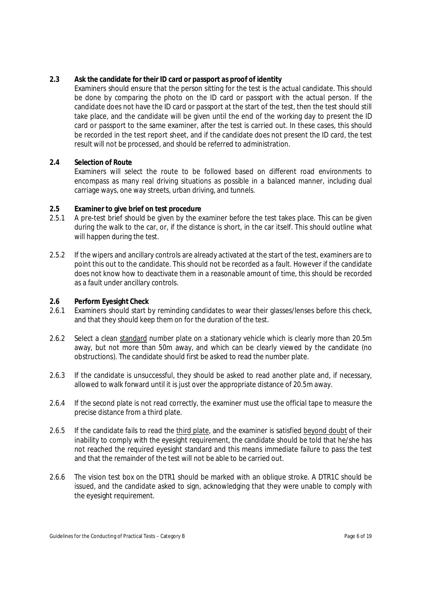# **2.3 Ask the candidate for their ID card or passport as proof of identity**

Examiners should ensure that the person sitting for the test is the actual candidate. This should be done by comparing the photo on the ID card or passport with the actual person. If the candidate does not have the ID card or passport at the start of the test, then the test should still take place, and the candidate will be given until the end of the working day to present the ID card or passport to the same examiner, after the test is carried out. In these cases, this should be recorded in the test report sheet, and if the candidate does not present the ID card, the test result will not be processed, and should be referred to administration.

# **2.4 Selection of Route**

Examiners will select the route to be followed based on different road environments to encompass as many real driving situations as possible in a balanced manner, including dual carriage ways, one way streets, urban driving, and tunnels.

# **2.5 Examiner to give brief on test procedure**

- 2.5.1 A pre-test brief should be given by the examiner before the test takes place. This can be given during the walk to the car, or, if the distance is short, in the car itself. This should outline what will happen during the test.
- 2.5.2 If the wipers and ancillary controls are already activated at the start of the test, examiners are to point this out to the candidate. This should not be recorded as a fault. However if the candidate does not know how to deactivate them in a reasonable amount of time, this should be recorded as a fault under ancillary controls.

# **2.6 Perform Eyesight Check**

- Examiners should start by reminding candidates to wear their glasses/lenses before this check, and that they should keep them on for the duration of the test.
- 2.6.2 Select a clean standard number plate on a stationary vehicle which is clearly more than 20.5m away, but not more than 50m away, and which can be clearly viewed by the candidate (no obstructions). The candidate should first be asked to read the number plate.
- 2.6.3 If the candidate is unsuccessful, they should be asked to read another plate and, if necessary, allowed to walk forward until it is just over the appropriate distance of 20.5m away.
- 2.6.4 If the second plate is not read correctly, the examiner must use the official tape to measure the precise distance from a third plate.
- 2.6.5 If the candidate fails to read the third plate, and the examiner is satisfied beyond doubt of their inability to comply with the eyesight requirement, the candidate should be told that he/she has not reached the required eyesight standard and this means immediate failure to pass the test and that the remainder of the test will not be able to be carried out.
- 2.6.6 The vision test box on the DTR1 should be marked with an oblique stroke. A DTR1C should be issued, and the candidate asked to sign, acknowledging that they were unable to comply with the eyesight requirement.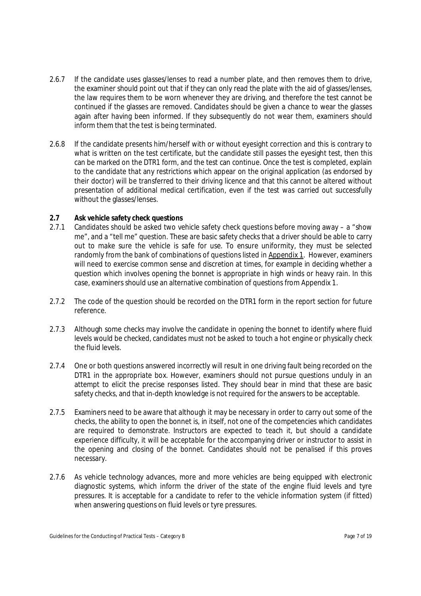- 2.6.7 If the candidate uses glasses/lenses to read a number plate, and then removes them to drive, the examiner should point out that if they can only read the plate with the aid of glasses/lenses, the law requires them to be worn whenever they are driving, and therefore the test cannot be continued if the glasses are removed. Candidates should be given a chance to wear the glasses again after having been informed. If they subsequently do not wear them, examiners should inform them that the test is being terminated.
- 2.6.8 If the candidate presents him/herself with or without eyesight correction and this is contrary to what is written on the test certificate, but the candidate still passes the eyesight test, then this can be marked on the DTR1 form, and the test can continue. Once the test is completed, explain to the candidate that any restrictions which appear on the original application (as endorsed by their doctor) will be transferred to their driving licence and that this cannot be altered without presentation of additional medical certification, even if the test was carried out successfully without the glasses/lenses.

# **2.7 Ask vehicle safety check questions**

- 2.7.1 Candidates should be asked two vehicle safety check questions before moving away a "show me", and a "tell me" question. These are basic safety checks that a driver should be able to carry out to make sure the vehicle is safe for use. To ensure uniformity, they must be selected randomly from the bank of combinations of questions listed in Appendix 1. However, examiners will need to exercise common sense and discretion at times, for example in deciding whether a question which involves opening the bonnet is appropriate in high winds or heavy rain. In this case, examiners should use an alternative combination of questions from Appendix 1.
- 2.7.2 The code of the question should be recorded on the DTR1 form in the report section for future reference.
- 2.7.3 Although some checks may involve the candidate in opening the bonnet to identify where fluid levels would be checked, candidates must not be asked to touch a hot engine or physically check the fluid levels.
- 2.7.4 One or both questions answered incorrectly will result in one driving fault being recorded on the DTR1 in the appropriate box. However, examiners should not pursue questions unduly in an attempt to elicit the precise responses listed. They should bear in mind that these are basic safety checks, and that in-depth knowledge is not required for the answers to be acceptable.
- 2.7.5 Examiners need to be aware that although it may be necessary in order to carry out some of the checks, the ability to open the bonnet is, in itself, not one of the competencies which candidates are required to demonstrate. Instructors are expected to teach it, but should a candidate experience difficulty, it will be acceptable for the accompanying driver or instructor to assist in the opening and closing of the bonnet. Candidates should not be penalised if this proves necessary.
- 2.7.6 As vehicle technology advances, more and more vehicles are being equipped with electronic diagnostic systems, which inform the driver of the state of the engine fluid levels and tyre pressures. It is acceptable for a candidate to refer to the vehicle information system (if fitted) when answering questions on fluid levels or tyre pressures.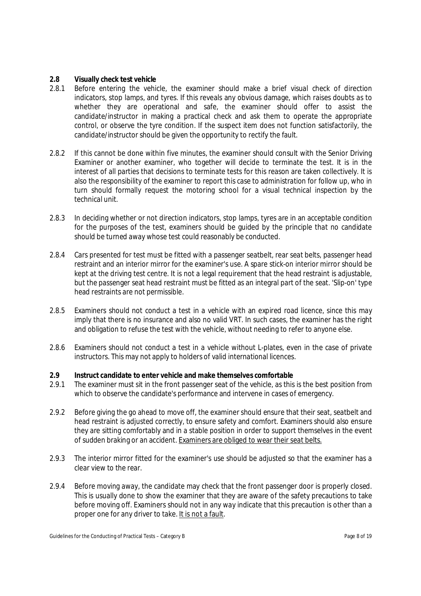# **2.8 Visually check test vehicle**

- 2.8.1 Before entering the vehicle, the examiner should make a brief visual check of direction indicators, stop lamps, and tyres. If this reveals any obvious damage, which raises doubts as to whether they are operational and safe, the examiner should offer to assist the candidate/instructor in making a practical check and ask them to operate the appropriate control, or observe the tyre condition. If the suspect item does not function satisfactorily, the candidate/instructor should be given the opportunity to rectify the fault.
- 2.8.2 If this cannot be done within five minutes, the examiner should consult with the Senior Driving Examiner or another examiner, who together will decide to terminate the test. It is in the interest of all parties that decisions to terminate tests for this reason are taken collectively. It is also the responsibility of the examiner to report this case to administration for follow up, who in turn should formally request the motoring school for a visual technical inspection by the technical unit.
- 2.8.3 In deciding whether or not direction indicators, stop lamps, tyres are in an acceptable condition for the purposes of the test, examiners should be guided by the principle that no candidate should be turned away whose test could reasonably be conducted.
- 2.8.4 Cars presented for test must be fitted with a passenger seatbelt, rear seat belts, passenger head restraint and an interior mirror for the examiner's use. A spare stick-on interior mirror should be kept at the driving test centre. It is not a legal requirement that the head restraint is adjustable, but the passenger seat head restraint must be fitted as an integral part of the seat. 'Slip-on' type head restraints are not permissible.
- 2.8.5 Examiners should not conduct a test in a vehicle with an expired road licence, since this may imply that there is no insurance and also no valid VRT. In such cases, the examiner has the right and obligation to refuse the test with the vehicle, without needing to refer to anyone else.
- 2.8.6 Examiners should not conduct a test in a vehicle without L-plates, even in the case of private instructors. This may not apply to holders of valid international licences.

#### **2.9 Instruct candidate to enter vehicle and make themselves comfortable**

- 2.9.1 The examiner must sit in the front passenger seat of the vehicle, as this is the best position from which to observe the candidate's performance and intervene in cases of emergency.
- 2.9.2 Before giving the go ahead to move off, the examiner should ensure that their seat, seatbelt and head restraint is adjusted correctly, to ensure safety and comfort. Examiners should also ensure they are sitting comfortably and in a stable position in order to support themselves in the event of sudden braking or an accident. Examiners are obliged to wear their seat belts.
- 2.9.3 The interior mirror fitted for the examiner's use should be adjusted so that the examiner has a clear view to the rear.
- 2.9.4 Before moving away, the candidate may check that the front passenger door is properly closed. This is usually done to show the examiner that they are aware of the safety precautions to take before moving off. Examiners should not in any way indicate that this precaution is other than a proper one for any driver to take. It is not a fault.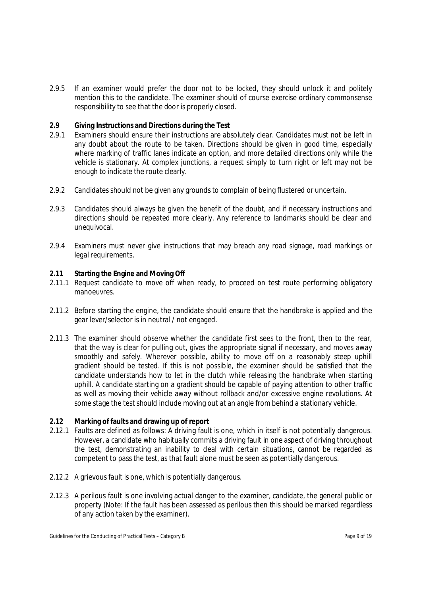2.9.5 If an examiner would prefer the door not to be locked, they should unlock it and politely mention this to the candidate. The examiner should of course exercise ordinary commonsense responsibility to see that the door is properly closed.

# **2.9 Giving Instructions and Directions during the Test**

- 2.9.1 Examiners should ensure their instructions are absolutely clear. Candidates must not be left in any doubt about the route to be taken. Directions should be given in good time, especially where marking of traffic lanes indicate an option, and more detailed directions only while the vehicle is stationary. At complex junctions, a request simply to turn right or left may not be enough to indicate the route clearly.
- 2.9.2 Candidates should not be given any grounds to complain of being flustered or uncertain.
- 2.9.3 Candidates should always be given the benefit of the doubt, and if necessary instructions and directions should be repeated more clearly. Any reference to landmarks should be clear and unequivocal.
- 2.9.4 Examiners must never give instructions that may breach any road signage, road markings or legal requirements.

# **2.11 Starting the Engine and Moving Off**

- 2.11.1 Request candidate to move off when ready, to proceed on test route performing obligatory manoeuvres.
- 2.11.2 Before starting the engine, the candidate should ensure that the handbrake is applied and the gear lever/selector is in neutral / not engaged.
- 2.11.3 The examiner should observe whether the candidate first sees to the front, then to the rear, that the way is clear for pulling out, gives the appropriate signal if necessary, and moves away smoothly and safely. Wherever possible, ability to move off on a reasonably steep uphill gradient should be tested. If this is not possible, the examiner should be satisfied that the candidate understands how to let in the clutch while releasing the handbrake when starting uphill. A candidate starting on a gradient should be capable of paying attention to other traffic as well as moving their vehicle away without rollback and/or excessive engine revolutions. At some stage the test should include moving out at an angle from behind a stationary vehicle.

#### **2.12 Marking of faults and drawing up of report**

- 2.12.1 Faults are defined as follows: A driving fault is one, which in itself is not potentially dangerous. However, a candidate who habitually commits a driving fault in one aspect of driving throughout the test, demonstrating an inability to deal with certain situations, cannot be regarded as competent to pass the test, as that fault alone must be seen as potentially dangerous.
- 2.12.2 A grievous fault is one, which is potentially dangerous.
- 2.12.3 A perilous fault is one involving actual danger to the examiner, candidate, the general public or property (Note: If the fault has been assessed as perilous then this should be marked regardless of any action taken by the examiner).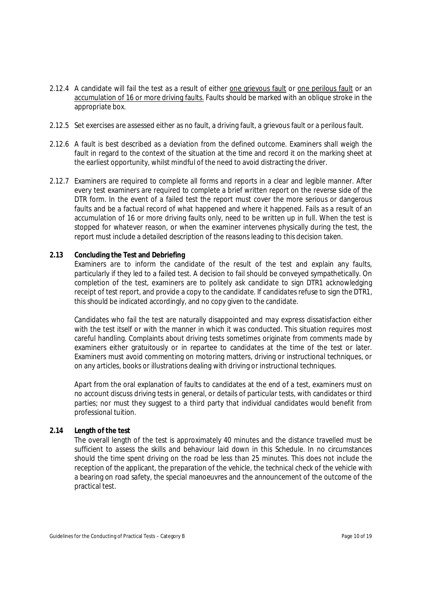- 2.12.4 A candidate will fail the test as a result of either one grievous fault or one perilous fault or an accumulation of 16 or more driving faults. Faults should be marked with an oblique stroke in the appropriate box.
- 2.12.5 Set exercises are assessed either as no fault, a driving fault, a grievous fault or a perilous fault.
- 2.12.6 A fault is best described as a deviation from the defined outcome. Examiners shall weigh the fault in regard to the context of the situation at the time and record it on the marking sheet at the earliest opportunity, whilst mindful of the need to avoid distracting the driver.
- 2.12.7 Examiners are required to complete all forms and reports in a clear and legible manner. After every test examiners are required to complete a brief written report on the reverse side of the DTR form. In the event of a failed test the report must cover the more serious or dangerous faults and be a factual record of what happened and where it happened. Fails as a result of an accumulation of 16 or more driving faults only, need to be written up in full. When the test is stopped for whatever reason, or when the examiner intervenes physically during the test, the report must include a detailed description of the reasons leading to this decision taken.

# **2.13 Concluding the Test and Debriefing**

Examiners are to inform the candidate of the result of the test and explain any faults, particularly if they led to a failed test. A decision to fail should be conveyed sympathetically. On completion of the test, examiners are to politely ask candidate to sign DTR1 acknowledging receipt of test report, and provide a copy to the candidate. If candidates refuse to sign the DTR1, this should be indicated accordingly, and no copy given to the candidate.

Candidates who fail the test are naturally disappointed and may express dissatisfaction either with the test itself or with the manner in which it was conducted. This situation requires most careful handling. Complaints about driving tests sometimes originate from comments made by examiners either gratuitously or in repartee to candidates at the time of the test or later. Examiners must avoid commenting on motoring matters, driving or instructional techniques, or on any articles, books or illustrations dealing with driving or instructional techniques.

Apart from the oral explanation of faults to candidates at the end of a test, examiners must on no account discuss driving tests in general, or details of particular tests, with candidates or third parties; nor must they suggest to a third party that individual candidates would benefit from professional tuition.

#### **2.14 Length of the test**

The overall length of the test is approximately 40 minutes and the distance travelled must be sufficient to assess the skills and behaviour laid down in this Schedule. In no circumstances should the time spent driving on the road be less than 25 minutes. This does not include the reception of the applicant, the preparation of the vehicle, the technical check of the vehicle with a bearing on road safety, the special manoeuvres and the announcement of the outcome of the practical test.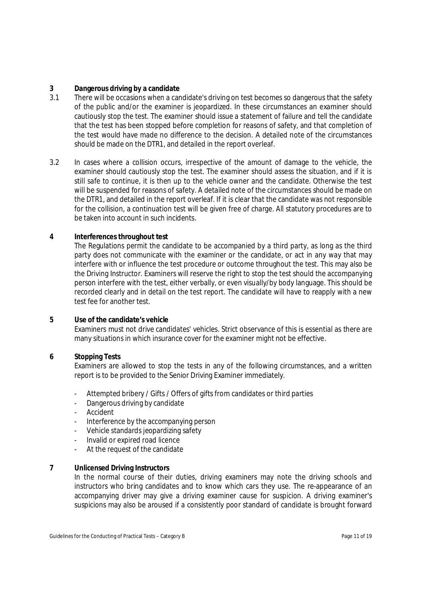# **3 Dangerous driving by a candidate**

- 3.1 There will be occasions when a candidate's driving on test becomes so dangerous that the safety of the public and/or the examiner is jeopardized. In these circumstances an examiner should cautiously stop the test. The examiner should issue a statement of failure and tell the candidate that the test has been stopped before completion for reasons of safety, and that completion of the test would have made no difference to the decision. A detailed note of the circumstances should be made on the DTR1, and detailed in the report overleaf.
- 3.2 In cases where a collision occurs, irrespective of the amount of damage to the vehicle, the examiner should cautiously stop the test. The examiner should assess the situation, and if it is still safe to continue, it is then up to the vehicle owner and the candidate. Otherwise the test will be suspended for reasons of safety. A detailed note of the circumstances should be made on the DTR1, and detailed in the report overleaf. If it is clear that the candidate was not responsible for the collision, a continuation test will be given free of charge. All statutory procedures are to be taken into account in such incidents.

# **4 Interferences throughout test**

The Regulations permit the candidate to be accompanied by a third party, as long as the third party does not communicate with the examiner or the candidate, or act in any way that may interfere with or influence the test procedure or outcome throughout the test. This may also be the Driving Instructor. Examiners will reserve the right to stop the test should the accompanying person interfere with the test, either verbally, or even visually/by body language. This should be recorded clearly and in detail on the test report. The candidate will have to reapply with a new test fee for another test.

#### **5 Use of the candidate's vehicle**

Examiners must not drive candidates' vehicles. Strict observance of this is essential as there are many situations in which insurance cover for the examiner might not be effective.

#### **6 Stopping Tests**

Examiners are allowed to stop the tests in any of the following circumstances, and a written report is to be provided to the Senior Driving Examiner immediately.

- Attempted bribery / Gifts / Offers of gifts from candidates or third parties
- Dangerous driving by candidate
- Accident
- Interference by the accompanying person
- Vehicle standards jeopardizing safety
- Invalid or expired road licence
- At the request of the candidate

#### **7 Unlicensed Driving Instructors**

In the normal course of their duties, driving examiners may note the driving schools and instructors who bring candidates and to know which cars they use. The re-appearance of an accompanying driver may give a driving examiner cause for suspicion. A driving examiner's suspicions may also be aroused if a consistently poor standard of candidate is brought forward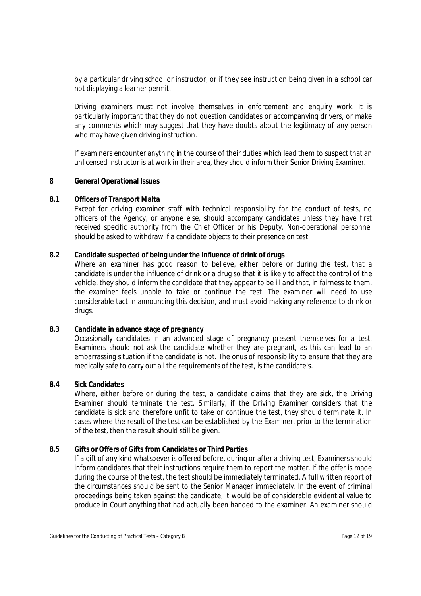by a particular driving school or instructor, or if they see instruction being given in a school car not displaying a learner permit.

Driving examiners must not involve themselves in enforcement and enquiry work. It is particularly important that they do not question candidates or accompanying drivers, or make any comments which may suggest that they have doubts about the legitimacy of any person who may have given driving instruction.

If examiners encounter anything in the course of their duties which lead them to suspect that an unlicensed instructor is at work in their area, they should inform their Senior Driving Examiner.

#### **8 General Operational Issues**

#### **8.1 Officers of Transport Malta**

Except for driving examiner staff with technical responsibility for the conduct of tests, no officers of the Agency, or anyone else, should accompany candidates unless they have first received specific authority from the Chief Officer or his Deputy. Non-operational personnel should be asked to withdraw if a candidate objects to their presence on test.

#### **8.2 Candidate suspected of being under the influence of drink of drugs**

Where an examiner has good reason to believe, either before or during the test, that a candidate is under the influence of drink or a drug so that it is likely to affect the control of the vehicle, they should inform the candidate that they appear to be ill and that, in fairness to them, the examiner feels unable to take or continue the test. The examiner will need to use considerable tact in announcing this decision, and must avoid making any reference to drink or drugs.

# **8.3 Candidate in advance stage of pregnancy**

Occasionally candidates in an advanced stage of pregnancy present themselves for a test. Examiners should not ask the candidate whether they are pregnant, as this can lead to an embarrassing situation if the candidate is not. The onus of responsibility to ensure that they are medically safe to carry out all the requirements of the test, is the candidate's.

# **8.4 Sick Candidates**

Where, either before or during the test, a candidate claims that they are sick, the Driving Examiner should terminate the test. Similarly, if the Driving Examiner considers that the candidate is sick and therefore unfit to take or continue the test, they should terminate it. In cases where the result of the test can be established by the Examiner, prior to the termination of the test, then the result should still be given.

#### **8.5 Gifts or Offers of Gifts from Candidates or Third Parties**

If a gift of any kind whatsoever is offered before, during or after a driving test, Examiners should inform candidates that their instructions require them to report the matter. If the offer is made during the course of the test, the test should be immediately terminated. A full written report of the circumstances should be sent to the Senior Manager immediately. In the event of criminal proceedings being taken against the candidate, it would be of considerable evidential value to produce in Court anything that had actually been handed to the examiner. An examiner should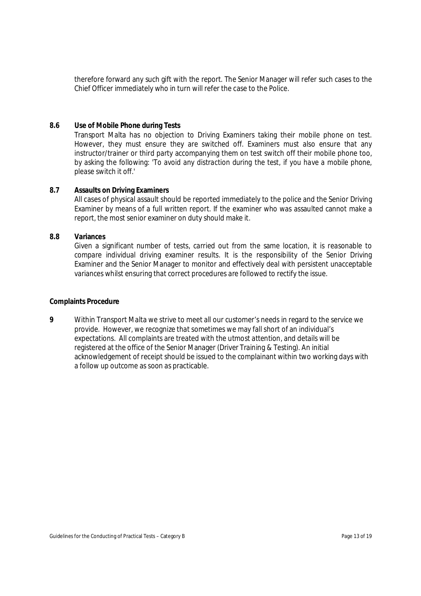therefore forward any such gift with the report. The Senior Manager will refer such cases to the Chief Officer immediately who in turn will refer the case to the Police.

#### **8.6 Use of Mobile Phone during Tests**

Transport Malta has no objection to Driving Examiners taking their mobile phone on test. However, they must ensure they are switched off. Examiners must also ensure that any instructor/trainer or third party accompanying them on test switch off their mobile phone too, by asking the following: *'To avoid any distraction during the test, if you have a mobile phone, please switch it off.'*

# **8.7 Assaults on Driving Examiners**

All cases of physical assault should be reported immediately to the police and the Senior Driving Examiner by means of a full written report. If the examiner who was assaulted cannot make a report, the most senior examiner on duty should make it.

# **8.8 Variances**

Given a significant number of tests, carried out from the same location, it is reasonable to compare individual driving examiner results. It is the responsibility of the Senior Driving Examiner and the Senior Manager to monitor and effectively deal with persistent unacceptable variances whilst ensuring that correct procedures are followed to rectify the issue.

#### **Complaints Procedure**

**9** Within Transport Malta we strive to meet all our customer's needs in regard to the service we provide. However, we recognize that sometimes we may fall short of an individual's expectations. All complaints are treated with the utmost attention, and details will be registered at the office of the Senior Manager (Driver Training & Testing). An initial acknowledgement of receipt should be issued to the complainant within two working days with a follow up outcome as soon as practicable.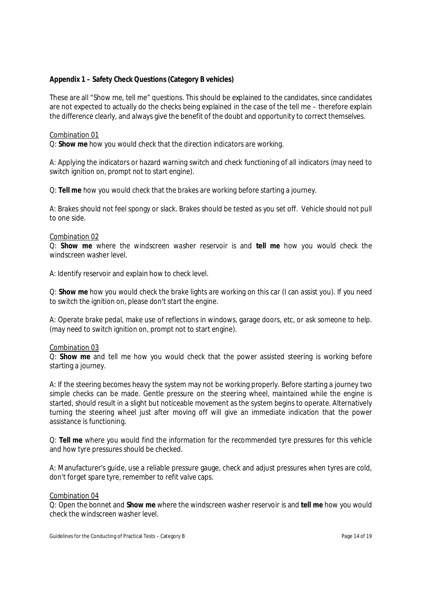# **Appendix 1 – Safety Check Questions (Category B vehicles)**

These are all "Show me, tell me" questions. This should be explained to the candidates, since candidates are not expected to actually do the checks being explained in the case of the tell me – therefore explain the difference clearly, and always give the benefit of the doubt and opportunity to correct themselves.

#### Combination 01

Q: **Show me** how you would check that the direction indicators are working.

A: Applying the indicators or hazard warning switch and check functioning of all indicators (may need to switch ignition on, prompt not to start engine).

Q: **Tell me** how you would check that the brakes are working before starting a journey.

A: Brakes should not feel spongy or slack. Brakes should be tested as you set off. Vehicle should not pull to one side.

#### Combination 02

Q: **Show me** where the windscreen washer reservoir is and **tell me** how you would check the windscreen washer level.

A: Identify reservoir and explain how to check level.

Q: **Show me** how you would check the brake lights are working on this car (I can assist you). If you need to switch the ignition on, please don't start the engine.

A: Operate brake pedal, make use of reflections in windows, garage doors, etc, or ask someone to help. (may need to switch ignition on, prompt not to start engine).

#### Combination 03

Q: **Show me** and tell me how you would check that the power assisted steering is working before starting a journey.

A: If the steering becomes heavy the system may not be working properly. Before starting a journey two simple checks can be made. Gentle pressure on the steering wheel, maintained while the engine is started, should result in a slight but noticeable movement as the system begins to operate. Alternatively turning the steering wheel just after moving off will give an immediate indication that the power assistance is functioning.

Q: **Tell me** where you would find the information for the recommended tyre pressures for this vehicle and how tyre pressures should be checked.

A: Manufacturer's guide, use a reliable pressure gauge, check and adjust pressures when tyres are cold, don't forget spare tyre, remember to refit valve caps.

#### Combination 04

Q: Open the bonnet and **Show me** where the windscreen washer reservoir is and **tell me** how you would check the windscreen washer level.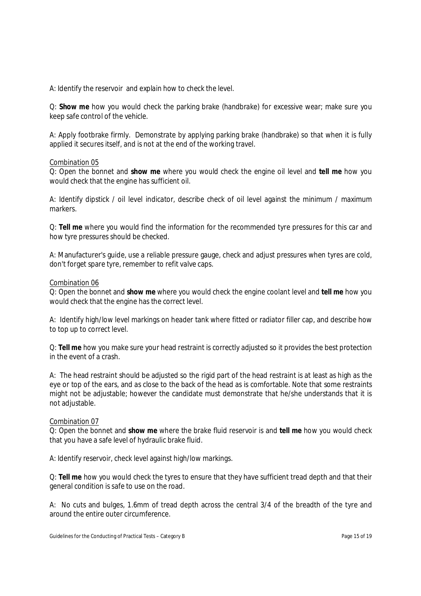A: Identify the reservoir and explain how to check the level.

Q: **Show me** how you would check the parking brake (handbrake) for excessive wear; make sure you keep safe control of the vehicle.

A: Apply footbrake firmly. Demonstrate by applying parking brake (handbrake) so that when it is fully applied it secures itself, and is not at the end of the working travel.

#### Combination 05

Q: Open the bonnet and **show me** where you would check the engine oil level and **tell me** how you would check that the engine has sufficient oil.

A: Identify dipstick / oil level indicator, describe check of oil level against the minimum / maximum markers.

Q: **Tell me** where you would find the information for the recommended tyre pressures for this car and how tyre pressures should be checked.

A: Manufacturer's guide, use a reliable pressure gauge, check and adjust pressures when tyres are cold, don't forget spare tyre, remember to refit valve caps.

#### Combination 06

Q: Open the bonnet and **show me** where you would check the engine coolant level and **tell me** how you would check that the engine has the correct level.

A: Identify high/low level markings on header tank where fitted or radiator filler cap, and describe how to top up to correct level.

Q: **Tell me** how you make sure your head restraint is correctly adjusted so it provides the best protection in the event of a crash.

A: The head restraint should be adjusted so the rigid part of the head restraint is at least as high as the eye or top of the ears, and as close to the back of the head as is comfortable. Note that some restraints might not be adjustable; however the candidate must demonstrate that he/she understands that it is not adjustable.

#### Combination 07

Q: Open the bonnet and **show me** where the brake fluid reservoir is and **tell me** how you would check that you have a safe level of hydraulic brake fluid.

A: Identify reservoir, check level against high/low markings.

Q: **Tell me** how you would check the tyres to ensure that they have sufficient tread depth and that their general condition is safe to use on the road.

A: No cuts and bulges, 1.6mm of tread depth across the central 3/4 of the breadth of the tyre and around the entire outer circumference.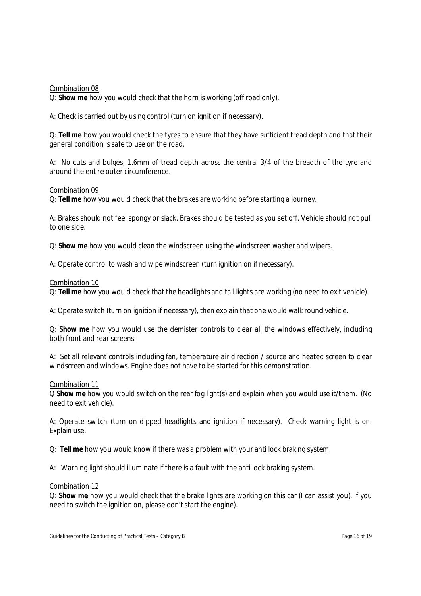Combination 08

Q: **Show me** how you would check that the horn is working (off road only).

A: Check is carried out by using control (turn on ignition if necessary).

Q: **Tell me** how you would check the tyres to ensure that they have sufficient tread depth and that their general condition is safe to use on the road.

A: No cuts and bulges, 1.6mm of tread depth across the central 3/4 of the breadth of the tyre and around the entire outer circumference.

#### Combination 09

Q: **Tell me** how you would check that the brakes are working before starting a journey.

A: Brakes should not feel spongy or slack. Brakes should be tested as you set off. Vehicle should not pull to one side.

Q: **Show me** how you would clean the windscreen using the windscreen washer and wipers.

A: Operate control to wash and wipe windscreen (turn ignition on if necessary).

Combination 10

Q: **Tell me** how you would check that the headlights and tail lights are working (no need to exit vehicle)

A: Operate switch (turn on ignition if necessary), then explain that one would walk round vehicle.

Q: **Show me** how you would use the demister controls to clear all the windows effectively, including both front and rear screens.

A: Set all relevant controls including fan, temperature air direction / source and heated screen to clear windscreen and windows. Engine does not have to be started for this demonstration.

#### Combination 11

Q **Show me** how you would switch on the rear fog light(s) and explain when you would use it/them. (No need to exit vehicle).

A: Operate switch (turn on dipped headlights and ignition if necessary). Check warning light is on. Explain use.

Q: **Tell me** how you would know if there was a problem with your anti lock braking system.

A: Warning light should illuminate if there is a fault with the anti lock braking system.

#### Combination 12

Q: **Show me** how you would check that the brake lights are working on this car (I can assist you). If you need to switch the ignition on, please don't start the engine).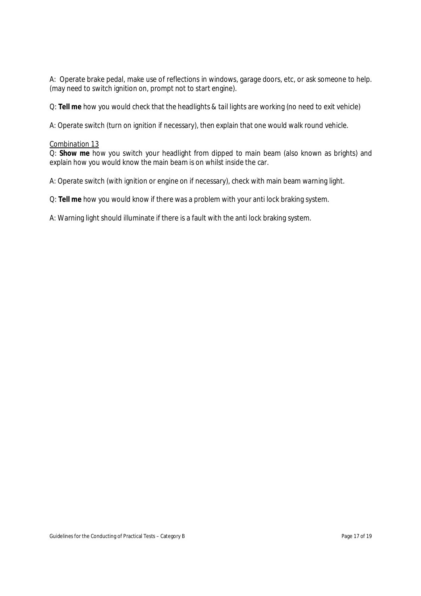A: Operate brake pedal, make use of reflections in windows, garage doors, etc, or ask someone to help. (may need to switch ignition on, prompt not to start engine).

Q: **Tell me** how you would check that the headlights & tail lights are working (no need to exit vehicle)

A: Operate switch (turn on ignition if necessary), then explain that one would walk round vehicle.

#### Combination 13

Q: **Show me** how you switch your headlight from dipped to main beam (also known as brights) and explain how you would know the main beam is on whilst inside the car.

A: Operate switch (with ignition or engine on if necessary), check with main beam warning light.

Q: **Tell me** how you would know if there was a problem with your anti lock braking system.

A: Warning light should illuminate if there is a fault with the anti lock braking system.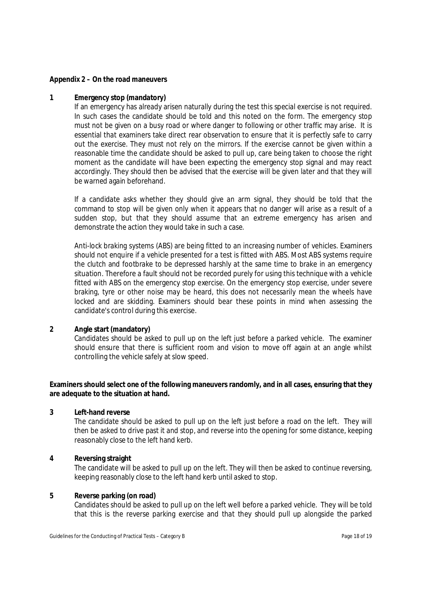#### **Appendix 2 – On the road maneuvers**

#### **1 Emergency stop (mandatory)**

If an emergency has already arisen naturally during the test this special exercise is not required. In such cases the candidate should be told and this noted on the form. The emergency stop must not be given on a busy road or where danger to following or other traffic may arise. It is essential that examiners take direct rear observation to ensure that it is perfectly safe to carry out the exercise. They must not rely on the mirrors. If the exercise cannot be given within a reasonable time the candidate should be asked to pull up, care being taken to choose the right moment as the candidate will have been expecting the emergency stop signal and may react accordingly. They should then be advised that the exercise will be given later and that they will be warned again beforehand.

If a candidate asks whether they should give an arm signal, they should be told that the command to stop will be given only when it appears that no danger will arise as a result of a sudden stop, but that they should assume that an extreme emergency has arisen and demonstrate the action they would take in such a case.

Anti-lock braking systems (ABS) are being fitted to an increasing number of vehicles. Examiners should not enquire if a vehicle presented for a test is fitted with ABS. Most ABS systems require the clutch and footbrake to be depressed harshly at the same time to brake in an emergency situation. Therefore a fault should not be recorded purely for using this technique with a vehicle fitted with ABS on the emergency stop exercise. On the emergency stop exercise, under severe braking, tyre or other noise may be heard, this does not necessarily mean the wheels have locked and are skidding. Examiners should bear these points in mind when assessing the candidate's control during this exercise.

#### **2 Angle start (mandatory)**

Candidates should be asked to pull up on the left just before a parked vehicle. The examiner should ensure that there is sufficient room and vision to move off again at an angle whilst controlling the vehicle safely at slow speed.

# **Examiners should select one of the following maneuvers randomly, and in all cases, ensuring that they are adequate to the situation at hand.**

#### **3 Left-hand reverse**

The candidate should be asked to pull up on the left just before a road on the left. They will then be asked to drive past it and stop, and reverse into the opening for some distance, keeping reasonably close to the left hand kerb.

#### **4 Reversing straight**

The candidate will be asked to pull up on the left. They will then be asked to continue reversing, keeping reasonably close to the left hand kerb until asked to stop.

#### **5 Reverse parking (on road)**

Candidates should be asked to pull up on the left well before a parked vehicle. They will be told that this is the reverse parking exercise and that they should pull up alongside the parked